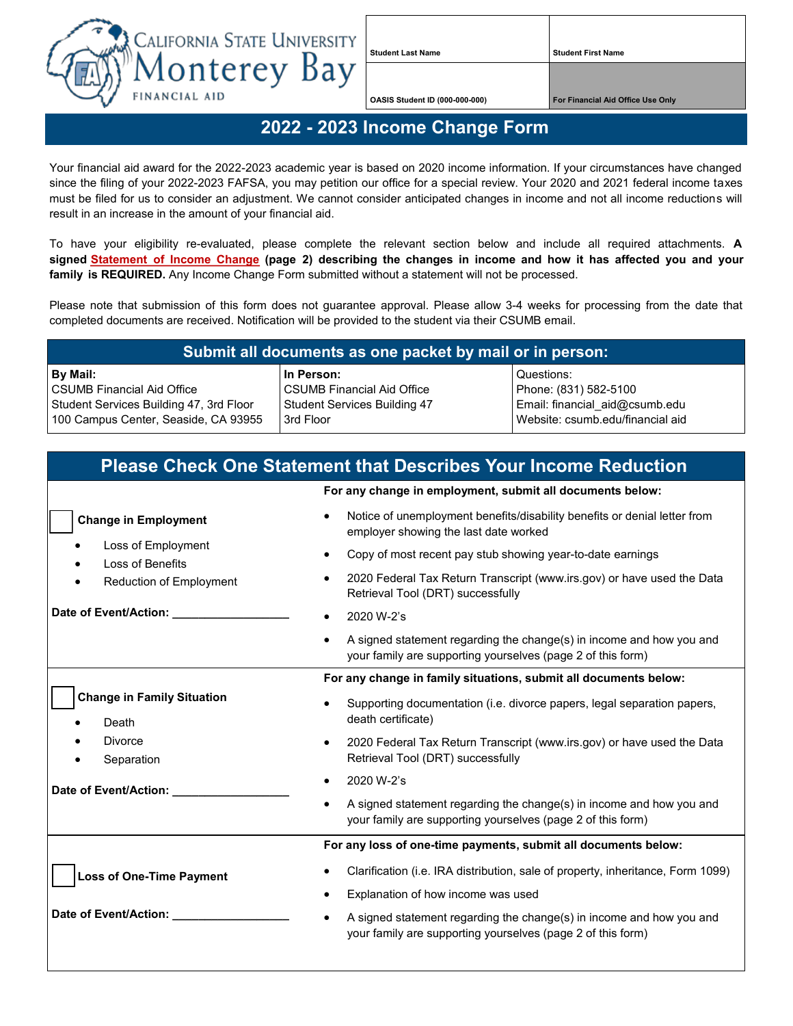

**Student Last Name Student First Name**

**OASIS Student ID (000-000-000) For Financial Aid Office Use Only**

## **2022 - 2023 Income Change Form**

Your financial aid award for the 2022-2023 academic year is based on 2020 income information. If your circumstances have changed since the filing of your 2022-2023 FAFSA, you may petition our office for a special review. Your 2020 and 2021 federal income taxes must be filed for us to consider an adjustment. We cannot consider anticipated changes in income and not all income reductions will result in an increase in the amount of your financial aid.

To have your eligibility re-evaluated, please complete the relevant section below and include all required attachments. **A signed Statement [of Income Change](#page-1-0) (page 2) describing the changes in income and how it has affected you and your family is REQUIRED.** Any Income Change Form submitted without a statement will not be processed.

Please note that submission of this form does not guarantee approval. Please allow 3-4 weeks for processing from the date that completed documents are received. Notification will be provided to the student via their CSUMB email.

## **Submit all documents as one packet by mail or in person:**

**By Mail:** CSUMB Financial Aid Office Student Services Building 47, 3rd Floor 100 Campus Center, Seaside, CA 93955 **In Person:** CSUMB Financial Aid Office Student Services Building 47 3rd Floor

Questions: Phone: (831) 582-5100 Email: financial\_aid@csumb.edu Website: csumb.edu/financial aid

| <b>Please Check One Statement that Describes Your Income Reduction</b>                                  |                                                                                                                                     |
|---------------------------------------------------------------------------------------------------------|-------------------------------------------------------------------------------------------------------------------------------------|
|                                                                                                         | For any change in employment, submit all documents below:                                                                           |
| <b>Change in Employment</b><br>Loss of Employment<br>Loss of Benefits<br><b>Reduction of Employment</b> | Notice of unemployment benefits/disability benefits or denial letter from<br>employer showing the last date worked                  |
|                                                                                                         | Copy of most recent pay stub showing year-to-date earnings                                                                          |
|                                                                                                         | 2020 Federal Tax Return Transcript (www.irs.gov) or have used the Data<br>Retrieval Tool (DRT) successfully                         |
| Date of Event/Action:                                                                                   | 2020 W-2's                                                                                                                          |
|                                                                                                         | A signed statement regarding the change(s) in income and how you and<br>your family are supporting yourselves (page 2 of this form) |
|                                                                                                         | For any change in family situations, submit all documents below:                                                                    |
| <b>Change in Family Situation</b><br>Death                                                              | Supporting documentation (i.e. divorce papers, legal separation papers,<br>death certificate)                                       |
| Divorce<br>Separation                                                                                   | 2020 Federal Tax Return Transcript (www.irs.gov) or have used the Data<br>$\bullet$<br>Retrieval Tool (DRT) successfully            |
| Date of Event/Action:                                                                                   | 2020 W-2's                                                                                                                          |
|                                                                                                         | A signed statement regarding the change(s) in income and how you and<br>your family are supporting yourselves (page 2 of this form) |
|                                                                                                         | For any loss of one-time payments, submit all documents below:                                                                      |
| <b>Loss of One-Time Payment</b>                                                                         | Clarification (i.e. IRA distribution, sale of property, inheritance, Form 1099)                                                     |
|                                                                                                         | Explanation of how income was used                                                                                                  |
| Date of Event/Action:                                                                                   | A signed statement regarding the change(s) in income and how you and<br>your family are supporting yourselves (page 2 of this form) |